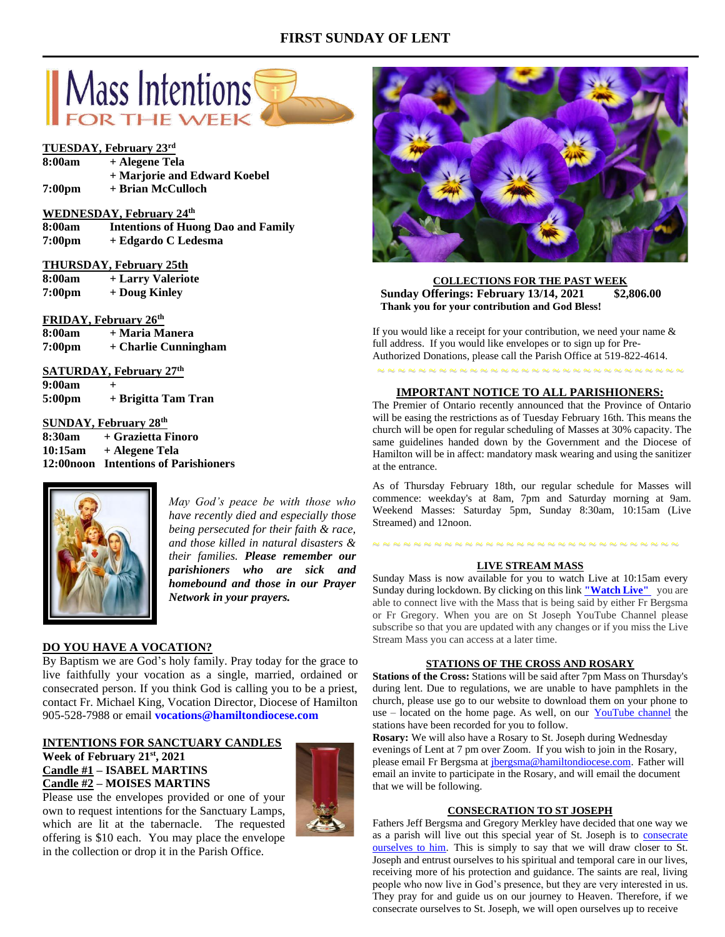# **FIRST SUNDAY OF LENT**



# **TUESDAY, February 23rd**

| 8:00am | + Alegene Tela               |
|--------|------------------------------|
|        | + Marjorie and Edward Koebel |
| 7:00pm | + Brian McCulloch            |

## **WEDNESDAY, February 24th**

- **8:00am Intentions of Huong Dao and Family**
- **7:00pm + Edgardo C Ledesma**

## **THURSDAY, February 25th**

| 8:00am             | + Larry Valeriote |
|--------------------|-------------------|
| 7:00 <sub>pm</sub> | + Doug Kinley     |

## **FRIDAY, February 26th**

**8:00am + Maria Manera 7:00pm + Charlie Cunningham**

# **SATURDAY, February 27th**

**9:00am +** 

**5:00pm + Brigitta Tam Tran**

## **SUNDAY, February 28th**

| 8:30am  | + Grazietta Finoro                    |
|---------|---------------------------------------|
| 10:15am | + Alegene Tela                        |
|         | 12:00 noon Intentions of Parishioners |



*May God's peace be with those who have recently died and especially those being persecuted for their faith & race, and those killed in natural disasters & their families. Please remember our parishioners who are sick and homebound and those in our Prayer Network in your prayers.*

## **DO YOU HAVE A VOCATION?**

By Baptism we are God's holy family. Pray today for the grace to live faithfully your vocation as a single, married, ordained or consecrated person. If you think God is calling you to be a priest, contact Fr. Michael King, Vocation Director, Diocese of Hamilton 905-528-7988 or email **vocations@hamiltondiocese.com** 

# **INTENTIONS FOR SANCTUARY CANDLES**

in the collection or drop it in the Parish Office.

**Week of February 21st, 2021 Candle #1 – ISABEL MARTINS Candle #2 – MOISES MARTINS** Please use the envelopes provided or one of your





**COLLECTIONS FOR THE PAST WEEK Sunday Offerings: February 13/14, 2021 \$2,806.00 Thank you for your contribution and God Bless!**

If you would like a receipt for your contribution, we need your name & full address. If you would like envelopes or to sign up for Pre-Authorized Donations, please call the Parish Office at 519-822-4614.

~ ~ ~ ~ ~ ~ ~ ~ ~ ~ ~ ~ ~ ~ ~ ~ ~ ~ ~ ~ ~ ~ ~ ~ ~ ~ ~ ~ ~ ~

## **IMPORTANT NOTICE TO ALL PARISHIONERS:**

The Premier of Ontario recently announced that the Province of Ontario will be easing the restrictions as of Tuesday February 16th. This means the church will be open for regular scheduling of Masses at 30% capacity. The same guidelines handed down by the Government and the Diocese of Hamilton will be in affect: mandatory mask wearing and using the sanitizer at the entrance.

As of Thursday February 18th, our regular schedule for Masses will commence: weekday's at 8am, 7pm and Saturday morning at 9am. Weekend Masses: Saturday 5pm, Sunday 8:30am, 10:15am (Live Streamed) and 12noon.

# ~ ~ ~ ~ ~ ~ ~ ~ ~ ~ ~ ~ ~ ~ ~ ~ ~ ~ ~ ~ ~ ~ ~ ~ ~ ~ ~ ~ ~ ~

# **LIVE STREAM MASS**

Sunday Mass is now available for you to watch Live at 10:15am every Sunday during lockdown. By clicking on this link **["Watch](https://www.youtube.com/channel/UCL59hxegD__FDJSdMDrt31w) Live"** you are able to connect live with the Mass that is being said by either Fr Bergsma or Fr Gregory. When you are on St Joseph YouTube Channel please subscribe so that you are updated with any changes or if you miss the Live Stream Mass you can access at a later time.

#### **STATIONS OF THE CROSS AND ROSARY**

**Stations of the Cross:** Stations will be said after 7pm Mass on Thursday's during lent. Due to regulations, we are unable to have pamphlets in the church, please use go to our website to download them on your phone to use – located on the home page. As well, on our [YouTube channel](https://www.youtube.com/channel/UCL59hxegD__FDJSdMDrt31w) the stations have been recorded for you to follow.

**Rosary:** We will also have a Rosary to St. Joseph during Wednesday evenings of Lent at 7 pm over Zoom. If you wish to join in the Rosary, please email Fr Bergsma at [jbergsma@hamiltondiocese.com.](mailto:jbergsma@hamiltondiocese.com) Father will email an invite to participate in the Rosary, and will email the document that we will be following.

### **CONSECRATION TO ST JOSEPH**

Fathers Jeff Bergsma and Gregory Merkley have decided that one way we as a parish will live out this special year of St. Joseph is to consecrate [ourselves to him.](https://www.consecrationtostjoseph.org/introduction.html) This is simply to say that we will draw closer to St. Joseph and entrust ourselves to his spiritual and temporal care in our lives, receiving more of his protection and guidance. The saints are real, living people who now live in God's presence, but they are very interested in us. They pray for and guide us on our journey to Heaven. Therefore, if we consecrate ourselves to St. Joseph, we will open ourselves up to receive